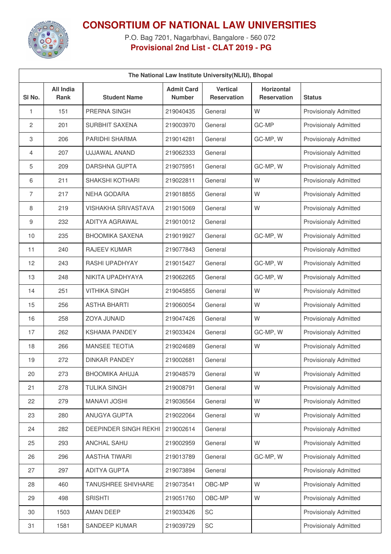

## **CONSORTIUM OF NATIONAL LAW UNIVERSITIES**

P.O. Bag 7201, Nagarbhavi, Bangalore - 560 072 **Provisional 2nd List - CLAT 2019 - PG**

| The National Law Institute University(NLIU), Bhopal |                                 |                              |                                    |                                       |                                         |                              |  |
|-----------------------------------------------------|---------------------------------|------------------------------|------------------------------------|---------------------------------------|-----------------------------------------|------------------------------|--|
| SI <sub>No.</sub>                                   | <b>All India</b><br><b>Rank</b> | <b>Student Name</b>          | <b>Admit Card</b><br><b>Number</b> | <b>Vertical</b><br><b>Reservation</b> | <b>Horizontal</b><br><b>Reservation</b> | <b>Status</b>                |  |
| 1                                                   | 151                             | PRERNA SINGH                 | 219040435                          | General                               | W                                       | <b>Provisionaly Admitted</b> |  |
| $\overline{c}$                                      | 201                             | <b>SURBHIT SAXENA</b>        | 219003970                          | General                               | GC-MP                                   | <b>Provisionaly Admitted</b> |  |
| 3                                                   | 206                             | PARIDHI SHARMA               | 219014281                          | General                               | GC-MP, W                                | <b>Provisionaly Admitted</b> |  |
| 4                                                   | 207                             | UJJAWAL ANAND                | 219062333                          | General                               |                                         | <b>Provisionaly Admitted</b> |  |
| 5                                                   | 209                             | <b>DARSHNA GUPTA</b>         | 219075951                          | General                               | GC-MP, W                                | <b>Provisionaly Admitted</b> |  |
| 6                                                   | 211                             | <b>SHAKSHI KOTHARI</b>       | 219022811                          | General                               | W                                       | <b>Provisionaly Admitted</b> |  |
| 7                                                   | 217                             | <b>NEHA GODARA</b>           | 219018855                          | General                               | W                                       | <b>Provisionaly Admitted</b> |  |
| 8                                                   | 219                             | <b>VISHAKHA SRIVASTAVA</b>   | 219015069                          | General                               | W                                       | <b>Provisionaly Admitted</b> |  |
| 9                                                   | 232                             | ADITYA AGRAWAL               | 219010012                          | General                               |                                         | <b>Provisionaly Admitted</b> |  |
| 10                                                  | 235                             | <b>BHOOMIKA SAXENA</b>       | 219019927                          | General                               | GC-MP, W                                | <b>Provisionaly Admitted</b> |  |
| 11                                                  | 240                             | RAJEEV KUMAR                 | 219077843                          | General                               |                                         | <b>Provisionaly Admitted</b> |  |
| 12                                                  | 243                             | RASHI UPADHYAY               | 219015427                          | General                               | GC-MP, W                                | <b>Provisionaly Admitted</b> |  |
| 13                                                  | 248                             | NIKITA UPADHYAYA             | 219062265                          | General                               | GC-MP, W                                | <b>Provisionaly Admitted</b> |  |
| 14                                                  | 251                             | <b>VITHIKA SINGH</b>         | 219045855                          | General                               | W                                       | <b>Provisionaly Admitted</b> |  |
| 15                                                  | 256                             | <b>ASTHA BHARTI</b>          | 219060054                          | General                               | W                                       | <b>Provisionaly Admitted</b> |  |
| 16                                                  | 258                             | ZOYA JUNAID                  | 219047426                          | General                               | W                                       | <b>Provisionaly Admitted</b> |  |
| 17                                                  | 262                             | <b>KSHAMA PANDEY</b>         | 219033424                          | General                               | GC-MP, W                                | <b>Provisionaly Admitted</b> |  |
| 18                                                  | 266                             | <b>MANSEE TEOTIA</b>         | 219024689                          | General                               | W                                       | <b>Provisionaly Admitted</b> |  |
| 19                                                  | 272                             | <b>DINKAR PANDEY</b>         | 219002681                          | General                               |                                         | <b>Provisionaly Admitted</b> |  |
| 20                                                  | 273                             | <b>BHOOMIKA AHUJA</b>        | 219048579                          | General                               | W                                       | <b>Provisionaly Admitted</b> |  |
| 21                                                  | 278                             | <b>TULIKA SINGH</b>          | 219008791                          | General                               | W                                       | <b>Provisionaly Admitted</b> |  |
| 22                                                  | 279                             | <b>MANAVI JOSHI</b>          | 219036564                          | General                               | W                                       | Provisionaly Admitted        |  |
| 23                                                  | 280                             | ANUGYA GUPTA                 | 219022064                          | General                               | W                                       | <b>Provisionaly Admitted</b> |  |
| 24                                                  | 282                             | <b>DEEPINDER SINGH REKHI</b> | 219002614                          | General                               |                                         | <b>Provisionaly Admitted</b> |  |
| 25                                                  | 293                             | ANCHAL SAHU                  | 219002959                          | General                               | W                                       | <b>Provisionaly Admitted</b> |  |
| 26                                                  | 296                             | AASTHA TIWARI                | 219013789                          | General                               | GC-MP, W                                | <b>Provisionaly Admitted</b> |  |
| 27                                                  | 297                             | <b>ADITYA GUPTA</b>          | 219073894                          | General                               |                                         | <b>Provisionaly Admitted</b> |  |
| 28                                                  | 460                             | <b>TANUSHREE SHIVHARE</b>    | 219073541                          | OBC-MP                                | W                                       | <b>Provisionaly Admitted</b> |  |
| 29                                                  | 498                             | <b>SRISHTI</b>               | 219051760                          | OBC-MP                                | W                                       | <b>Provisionaly Admitted</b> |  |
| 30                                                  | 1503                            | <b>AMAN DEEP</b>             | 219033426                          | SC                                    |                                         | Provisionaly Admitted        |  |
| 31                                                  | 1581                            | SANDEEP KUMAR                | 219039729                          | SC                                    |                                         | Provisionaly Admitted        |  |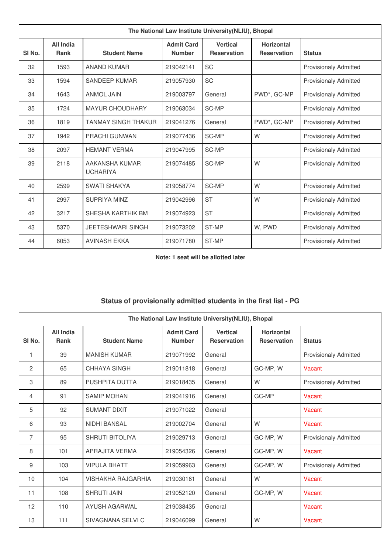| The National Law Institute University (NLIU), Bhopal |                          |                                   |                                    |                                       |                                         |                              |  |
|------------------------------------------------------|--------------------------|-----------------------------------|------------------------------------|---------------------------------------|-----------------------------------------|------------------------------|--|
| SI <sub>No.</sub>                                    | All India<br><b>Rank</b> | <b>Student Name</b>               | <b>Admit Card</b><br><b>Number</b> | <b>Vertical</b><br><b>Reservation</b> | <b>Horizontal</b><br><b>Reservation</b> | <b>Status</b>                |  |
| 32                                                   | 1593                     | <b>ANAND KUMAR</b>                | 219042141                          | <b>SC</b>                             |                                         | <b>Provisionaly Admitted</b> |  |
| 33                                                   | 1594                     | SANDEEP KUMAR                     | 219057930                          | <b>SC</b>                             |                                         | <b>Provisionaly Admitted</b> |  |
| 34                                                   | 1643                     | <b>ANMOL JAIN</b>                 | 219003797                          | General                               | PWD*, GC-MP                             | <b>Provisionaly Admitted</b> |  |
| 35                                                   | 1724                     | <b>MAYUR CHOUDHARY</b>            | 219063034                          | SC-MP                                 |                                         | <b>Provisionaly Admitted</b> |  |
| 36                                                   | 1819                     | <b>TANMAY SINGH THAKUR</b>        | 219041276                          | General                               | PWD*, GC-MP                             | <b>Provisionaly Admitted</b> |  |
| 37                                                   | 1942                     | <b>PRACHI GUNWAN</b>              | 219077436                          | SC-MP                                 | W                                       | <b>Provisionaly Admitted</b> |  |
| 38                                                   | 2097                     | <b>HEMANT VERMA</b>               | 219047995                          | SC-MP                                 |                                         | <b>Provisionaly Admitted</b> |  |
| 39                                                   | 2118                     | AAKANSHA KUMAR<br><b>UCHARIYA</b> | 219074485                          | SC-MP                                 | W                                       | <b>Provisionaly Admitted</b> |  |
| 40                                                   | 2599                     | <b>SWATI SHAKYA</b>               | 219058774                          | SC-MP                                 | W                                       | <b>Provisionaly Admitted</b> |  |
| 41                                                   | 2997                     | <b>SUPRIYA MINZ</b>               | 219042996                          | <b>ST</b>                             | W                                       | <b>Provisionaly Admitted</b> |  |
| 42                                                   | 3217                     | SHESHA KARTHIK BM                 | 219074923                          | <b>ST</b>                             |                                         | <b>Provisionaly Admitted</b> |  |
| 43                                                   | 5370                     | <b>JEETESHWARI SINGH</b>          | 219073202                          | ST-MP                                 | W, PWD                                  | <b>Provisionaly Admitted</b> |  |
| 44                                                   | 6053                     | <b>AVINASH EKKA</b>               | 219071780                          | ST-MP                                 |                                         | <b>Provisionaly Admitted</b> |  |

**Note: 1 seat will be allotted later**

## **Status of provisionally admitted students in the first list - PG**

| The National Law Institute University (NLIU), Bhopal |                                 |                           |                                    |                                       |                                         |                              |  |
|------------------------------------------------------|---------------------------------|---------------------------|------------------------------------|---------------------------------------|-----------------------------------------|------------------------------|--|
| SI No.                                               | <b>All India</b><br><b>Rank</b> | <b>Student Name</b>       | <b>Admit Card</b><br><b>Number</b> | <b>Vertical</b><br><b>Reservation</b> | <b>Horizontal</b><br><b>Reservation</b> | <b>Status</b>                |  |
| 1                                                    | 39                              | <b>MANISH KUMAR</b>       | 219071992                          | General                               |                                         | <b>Provisionaly Admitted</b> |  |
| 2                                                    | 65                              | CHHAYA SINGH              | 219011818                          | General                               | GC-MP, W                                | Vacant                       |  |
| 3                                                    | 89                              | PUSHPITA DUTTA            | 219018435                          | General                               | W                                       | <b>Provisionaly Admitted</b> |  |
| $\overline{4}$                                       | 91                              | <b>SAMIP MOHAN</b>        | 219041916                          | General                               | GC-MP                                   | Vacant                       |  |
| 5                                                    | 92                              | <b>SUMANT DIXIT</b>       | 219071022                          | General                               |                                         | Vacant                       |  |
| 6                                                    | 93                              | <b>NIDHI BANSAL</b>       | 219002704                          | General                               | W                                       | Vacant                       |  |
| 7                                                    | 95                              | <b>SHRUTI BITOLIYA</b>    | 219029713                          | General                               | GC-MP, W                                | <b>Provisionaly Admitted</b> |  |
| 8                                                    | 101                             | APRAJITA VERMA            | 219054326                          | General                               | GC-MP, W                                | Vacant                       |  |
| 9                                                    | 103                             | <b>VIPULA BHATT</b>       | 219059963                          | General                               | GC-MP, W                                | <b>Provisionaly Admitted</b> |  |
| 10                                                   | 104                             | <b>VISHAKHA RAJGARHIA</b> | 219030161                          | General                               | W                                       | Vacant                       |  |
| 11                                                   | 108                             | <b>SHRUTI JAIN</b>        | 219052120                          | General                               | GC-MP, W                                | Vacant                       |  |
| 12                                                   | 110                             | <b>AYUSH AGARWAL</b>      | 219038435                          | General                               |                                         | Vacant                       |  |
| 13                                                   | 111                             | SIVAGNANA SELVI C         | 219046099                          | General                               | W                                       | Vacant                       |  |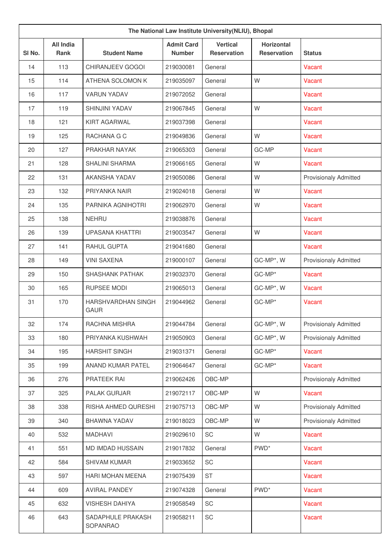| The National Law Institute University(NLIU), Bhopal |                                 |                                          |                                    |                                       |                                         |                              |
|-----------------------------------------------------|---------------------------------|------------------------------------------|------------------------------------|---------------------------------------|-----------------------------------------|------------------------------|
| SI <sub>No.</sub>                                   | <b>All India</b><br><b>Rank</b> | <b>Student Name</b>                      | <b>Admit Card</b><br><b>Number</b> | <b>Vertical</b><br><b>Reservation</b> | <b>Horizontal</b><br><b>Reservation</b> | <b>Status</b>                |
| 14                                                  | 113                             | <b>CHIRANJEEV GOGOI</b>                  | 219030081                          | General                               |                                         | Vacant                       |
| 15                                                  | 114                             | ATHENA SOLOMON K                         | 219035097                          | General                               | W                                       | Vacant                       |
| 16                                                  | 117                             | <b>VARUN YADAV</b>                       | 219072052                          | General                               |                                         | Vacant                       |
| 17                                                  | 119                             | <b>SHINJINI YADAV</b>                    | 219067845                          | General                               | W                                       | Vacant                       |
| 18                                                  | 121                             | <b>KIRT AGARWAL</b>                      | 219037398                          | General                               |                                         | Vacant                       |
| 19                                                  | 125                             | RACHANA G C                              | 219049836                          | General                               | W                                       | Vacant                       |
| 20                                                  | 127                             | PRAKHAR NAYAK                            | 219065303                          | General                               | GC-MP                                   | Vacant                       |
| 21                                                  | 128                             | <b>SHALINI SHARMA</b>                    | 219066165                          | General                               | W                                       | Vacant                       |
| 22                                                  | 131                             | AKANSHA YADAV                            | 219050086                          | General                               | W                                       | <b>Provisionaly Admitted</b> |
| 23                                                  | 132                             | PRIYANKA NAIR                            | 219024018                          | General                               | W                                       | Vacant                       |
| 24                                                  | 135                             | PARNIKA AGNIHOTRI                        | 219062970                          | General                               | W                                       | Vacant                       |
| 25                                                  | 138                             | NEHRU                                    | 219038876                          | General                               |                                         | Vacant                       |
| 26                                                  | 139                             | <b>UPASANA KHATTRI</b>                   | 219003547                          | General                               | W                                       | Vacant                       |
| 27                                                  | 141                             | RAHUL GUPTA                              | 219041680                          | General                               |                                         | Vacant                       |
| 28                                                  | 149                             | <b>VINI SAXENA</b>                       | 219000107                          | General                               | GC-MP*, W                               | <b>Provisionaly Admitted</b> |
| 29                                                  | 150                             | <b>SHASHANK PATHAK</b>                   | 219032370                          | General                               | GC-MP*                                  | Vacant                       |
| 30                                                  | 165                             | <b>RUPSEE MODI</b>                       | 219065013                          | General                               | GC-MP*, W                               | Vacant                       |
| 31                                                  | 170                             | <b>HARSHVARDHAN SINGH</b><br><b>GAUR</b> | 219044962                          | General                               | GC-MP*                                  | Vacant                       |
| 32                                                  | 174                             | RACHNA MISHRA                            | 219044784                          | General                               | GC-MP*, W                               | <b>Provisionaly Admitted</b> |
| 33                                                  | 180                             | PRIYANKA KUSHWAH                         | 219050903                          | General                               | GC-MP*, W                               | <b>Provisionaly Admitted</b> |
| 34                                                  | 195                             | <b>HARSHIT SINGH</b>                     | 219031371                          | General                               | GC-MP*                                  | Vacant                       |
| 35                                                  | 199                             | ANAND KUMAR PATEL                        | 219064647                          | General                               | GC-MP*                                  | Vacant                       |
| 36                                                  | 276                             | PRATEEK RAI                              | 219062426                          | OBC-MP                                |                                         | <b>Provisionaly Admitted</b> |
| 37                                                  | 325                             | PALAK GURJAR                             | 219072117                          | OBC-MP                                | W                                       | Vacant                       |
| 38                                                  | 338                             | RISHA AHMED QURESHI                      | 219075713                          | OBC-MP                                | W                                       | <b>Provisionaly Admitted</b> |
| 39                                                  | 340                             | BHAWNA YADAV                             | 219018023                          | OBC-MP                                | W                                       | <b>Provisionaly Admitted</b> |
| 40                                                  | 532                             | <b>MADHAVI</b>                           | 219029610                          | SC                                    | W                                       | Vacant                       |
| 41                                                  | 551                             | MD IMDAD HUSSAIN                         | 219017832                          | General                               | PWD <sup>*</sup>                        | Vacant                       |
| 42                                                  | 584                             | <b>SHIVAM KUMAR</b>                      | 219033652                          | SC                                    |                                         | Vacant                       |
| 43                                                  | 597                             | HARI MOHAN MEENA                         | 219075439                          | <b>ST</b>                             |                                         | Vacant                       |
| 44                                                  | 609                             | <b>AVIRAL PANDEY</b>                     | 219074328                          | General                               | PWD <sup>*</sup>                        | Vacant                       |
| 45                                                  | 632                             | <b>VISHESH DAHIYA</b>                    | 219058549                          | SC                                    |                                         | Vacant                       |
| 46                                                  | 643                             | SADAPHULE PRAKASH<br>SOPANRAO            | 219058211                          | SC                                    |                                         | Vacant                       |